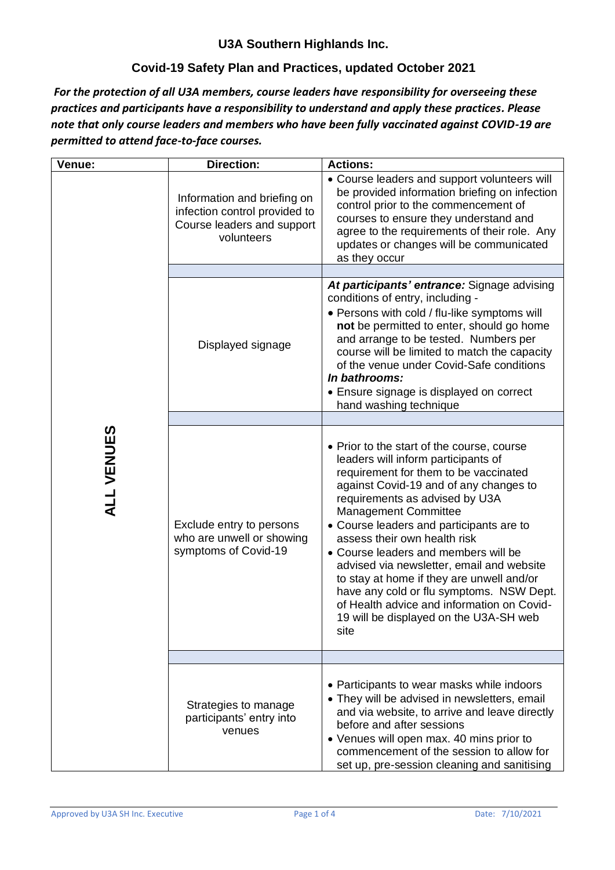#### **Covid-19 Safety Plan and Practices, updated October 2021**

*For the protection of all U3A members, course leaders have responsibility for overseeing these practices and participants have a responsibility to understand and apply these practices. Please note that only course leaders and members who have been fully vaccinated against COVID-19 are permitted to attend face-to-face courses.*

| Venue:            | <b>Direction:</b>                                                                                        | <b>Actions:</b>                                                                                                                                                                                                                                                                                                                                                                                                                                                                                                                                                                                 |
|-------------------|----------------------------------------------------------------------------------------------------------|-------------------------------------------------------------------------------------------------------------------------------------------------------------------------------------------------------------------------------------------------------------------------------------------------------------------------------------------------------------------------------------------------------------------------------------------------------------------------------------------------------------------------------------------------------------------------------------------------|
|                   | Information and briefing on<br>infection control provided to<br>Course leaders and support<br>volunteers | • Course leaders and support volunteers will<br>be provided information briefing on infection<br>control prior to the commencement of<br>courses to ensure they understand and<br>agree to the requirements of their role. Any<br>updates or changes will be communicated<br>as they occur                                                                                                                                                                                                                                                                                                      |
|                   |                                                                                                          |                                                                                                                                                                                                                                                                                                                                                                                                                                                                                                                                                                                                 |
|                   | Displayed signage                                                                                        | At participants' entrance: Signage advising<br>conditions of entry, including -<br>• Persons with cold / flu-like symptoms will<br>not be permitted to enter, should go home<br>and arrange to be tested. Numbers per<br>course will be limited to match the capacity<br>of the venue under Covid-Safe conditions<br>In bathrooms:<br>• Ensure signage is displayed on correct<br>hand washing technique                                                                                                                                                                                        |
|                   |                                                                                                          |                                                                                                                                                                                                                                                                                                                                                                                                                                                                                                                                                                                                 |
| <b>ALL VENUES</b> | Exclude entry to persons<br>who are unwell or showing<br>symptoms of Covid-19                            | • Prior to the start of the course, course<br>leaders will inform participants of<br>requirement for them to be vaccinated<br>against Covid-19 and of any changes to<br>requirements as advised by U3A<br><b>Management Committee</b><br>• Course leaders and participants are to<br>assess their own health risk<br>• Course leaders and members will be<br>advised via newsletter, email and website<br>to stay at home if they are unwell and/or<br>have any cold or flu symptoms. NSW Dept.<br>of Health advice and information on Covid-<br>19 will be displayed on the U3A-SH web<br>site |
|                   |                                                                                                          |                                                                                                                                                                                                                                                                                                                                                                                                                                                                                                                                                                                                 |
|                   | Strategies to manage<br>participants' entry into<br>venues                                               | • Participants to wear masks while indoors<br>• They will be advised in newsletters, email<br>and via website, to arrive and leave directly<br>before and after sessions<br>• Venues will open max. 40 mins prior to<br>commencement of the session to allow for<br>set up, pre-session cleaning and sanitising                                                                                                                                                                                                                                                                                 |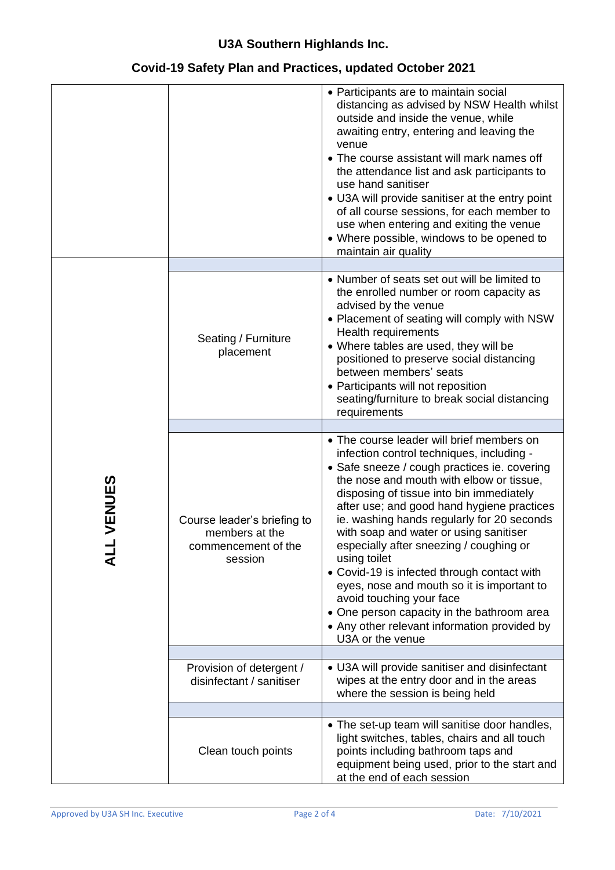### **Covid-19 Safety Plan and Practices, updated October 2021**

|        |                                                                                 | • Participants are to maintain social<br>distancing as advised by NSW Health whilst<br>outside and inside the venue, while<br>awaiting entry, entering and leaving the<br>venue<br>• The course assistant will mark names off<br>the attendance list and ask participants to<br>use hand sanitiser<br>• U3A will provide sanitiser at the entry point<br>of all course sessions, for each member to<br>use when entering and exiting the venue<br>• Where possible, windows to be opened to<br>maintain air quality                                                                                                                                                        |
|--------|---------------------------------------------------------------------------------|----------------------------------------------------------------------------------------------------------------------------------------------------------------------------------------------------------------------------------------------------------------------------------------------------------------------------------------------------------------------------------------------------------------------------------------------------------------------------------------------------------------------------------------------------------------------------------------------------------------------------------------------------------------------------|
|        |                                                                                 |                                                                                                                                                                                                                                                                                                                                                                                                                                                                                                                                                                                                                                                                            |
|        | Seating / Furniture<br>placement                                                | • Number of seats set out will be limited to<br>the enrolled number or room capacity as<br>advised by the venue<br>• Placement of seating will comply with NSW<br><b>Health requirements</b><br>• Where tables are used, they will be<br>positioned to preserve social distancing<br>between members' seats<br>• Participants will not reposition<br>seating/furniture to break social distancing<br>requirements                                                                                                                                                                                                                                                          |
|        |                                                                                 |                                                                                                                                                                                                                                                                                                                                                                                                                                                                                                                                                                                                                                                                            |
| VENUES | Course leader's briefing to<br>members at the<br>commencement of the<br>session | • The course leader will brief members on<br>infection control techniques, including -<br>• Safe sneeze / cough practices ie. covering<br>the nose and mouth with elbow or tissue,<br>disposing of tissue into bin immediately<br>after use; and good hand hygiene practices<br>ie. washing hands regularly for 20 seconds<br>with soap and water or using sanitiser<br>especially after sneezing / coughing or<br>using toilet<br>• Covid-19 is infected through contact with<br>eyes, nose and mouth so it is important to<br>avoid touching your face<br>• One person capacity in the bathroom area<br>• Any other relevant information provided by<br>U3A or the venue |
|        |                                                                                 |                                                                                                                                                                                                                                                                                                                                                                                                                                                                                                                                                                                                                                                                            |
|        | Provision of detergent /<br>disinfectant / sanitiser                            | • U3A will provide sanitiser and disinfectant<br>wipes at the entry door and in the areas<br>where the session is being held                                                                                                                                                                                                                                                                                                                                                                                                                                                                                                                                               |
|        |                                                                                 |                                                                                                                                                                                                                                                                                                                                                                                                                                                                                                                                                                                                                                                                            |
|        | Clean touch points                                                              | • The set-up team will sanitise door handles,<br>light switches, tables, chairs and all touch<br>points including bathroom taps and<br>equipment being used, prior to the start and<br>at the end of each session                                                                                                                                                                                                                                                                                                                                                                                                                                                          |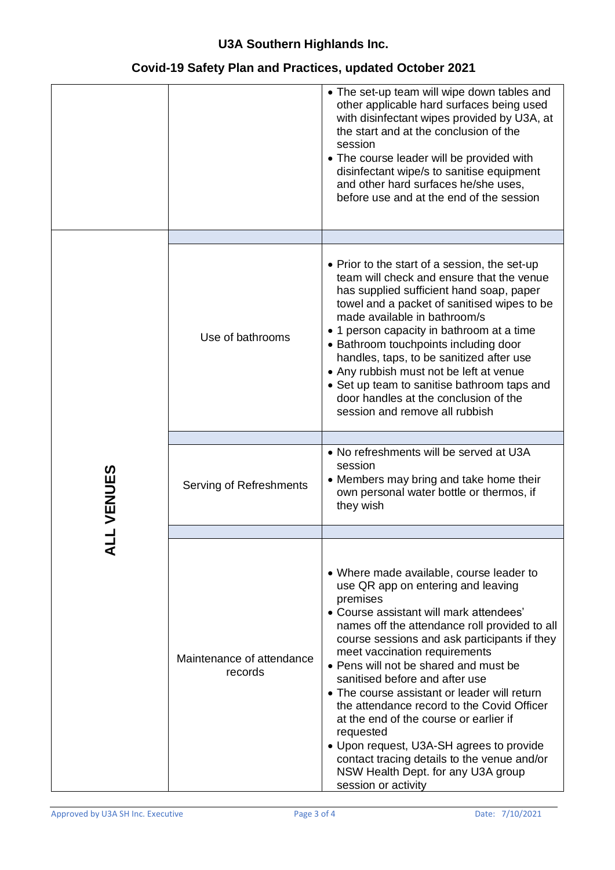### **Covid-19 Safety Plan and Practices, updated October 2021**

|                |                                      | • The set-up team will wipe down tables and<br>other applicable hard surfaces being used<br>with disinfectant wipes provided by U3A, at<br>the start and at the conclusion of the<br>session<br>• The course leader will be provided with<br>disinfectant wipe/s to sanitise equipment<br>and other hard surfaces he/she uses,<br>before use and at the end of the session                                                                                                                                                                                                                                                                                      |
|----------------|--------------------------------------|-----------------------------------------------------------------------------------------------------------------------------------------------------------------------------------------------------------------------------------------------------------------------------------------------------------------------------------------------------------------------------------------------------------------------------------------------------------------------------------------------------------------------------------------------------------------------------------------------------------------------------------------------------------------|
|                |                                      |                                                                                                                                                                                                                                                                                                                                                                                                                                                                                                                                                                                                                                                                 |
|                | Use of bathrooms                     | • Prior to the start of a session, the set-up<br>team will check and ensure that the venue<br>has supplied sufficient hand soap, paper<br>towel and a packet of sanitised wipes to be<br>made available in bathroom/s<br>• 1 person capacity in bathroom at a time<br>• Bathroom touchpoints including door<br>handles, taps, to be sanitized after use<br>• Any rubbish must not be left at venue<br>• Set up team to sanitise bathroom taps and<br>door handles at the conclusion of the<br>session and remove all rubbish                                                                                                                                    |
|                |                                      |                                                                                                                                                                                                                                                                                                                                                                                                                                                                                                                                                                                                                                                                 |
| <b>LVENUES</b> | Serving of Refreshments              | • No refreshments will be served at U3A<br>session<br>• Members may bring and take home their<br>own personal water bottle or thermos, if<br>they wish                                                                                                                                                                                                                                                                                                                                                                                                                                                                                                          |
|                |                                      |                                                                                                                                                                                                                                                                                                                                                                                                                                                                                                                                                                                                                                                                 |
|                | Maintenance of attendance<br>records | • Where made available, course leader to<br>use QR app on entering and leaving<br>premises<br>• Course assistant will mark attendees'<br>names off the attendance roll provided to all<br>course sessions and ask participants if they<br>meet vaccination requirements<br>• Pens will not be shared and must be<br>sanitised before and after use<br>• The course assistant or leader will return<br>the attendance record to the Covid Officer<br>at the end of the course or earlier if<br>requested<br>• Upon request, U3A-SH agrees to provide<br>contact tracing details to the venue and/or<br>NSW Health Dept. for any U3A group<br>session or activity |